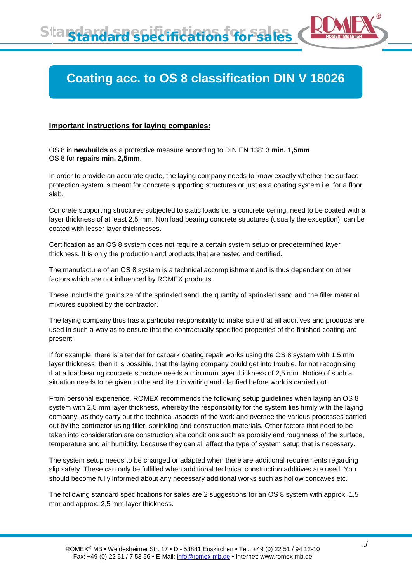## **Coating acc. to OS 8 classification DIN V 18026**

## **Important instructions for laying companies:**

OS 8 in **newbuilds** as a protective measure according to DIN EN 13813 **min. 1,5mm** OS 8 for **repairs min. 2,5mm**.

In order to provide an accurate quote, the laying company needs to know exactly whether the surface protection system is meant for concrete supporting structures or just as a coating system i.e. for a floor slab.

Concrete supporting structures subjected to static loads i.e. a concrete ceiling, need to be coated with a layer thickness of at least 2,5 mm. Non load bearing concrete structures (usually the exception), can be coated with lesser layer thicknesses.

Certification as an OS 8 system does not require a certain system setup or predetermined layer thickness. It is only the production and products that are tested and certified.

The manufacture of an OS 8 system is a technical accomplishment and is thus dependent on other factors which are not influenced by ROMEX products.

These include the grainsize of the sprinkled sand, the quantity of sprinkled sand and the filler material mixtures supplied by the contractor.

The laying company thus has a particular responsibility to make sure that all additives and products are used in such a way as to ensure that the contractually specified properties of the finished coating are present.

If for example, there is a tender for carpark coating repair works using the OS 8 system with 1,5 mm layer thickness, then it is possible, that the laying company could get into trouble, for not recognising that a loadbearing concrete structure needs a minimum layer thickness of 2,5 mm. Notice of such a situation needs to be given to the architect in writing and clarified before work is carried out.

From personal experience, ROMEX recommends the following setup guidelines when laying an OS 8 system with 2,5 mm layer thickness, whereby the responsibility for the system lies firmly with the laying company, as they carry out the technical aspects of the work and oversee the various processes carried out by the contractor using filler, sprinkling and construction materials. Other factors that need to be taken into consideration are construction site conditions such as porosity and roughness of the surface, temperature and air humidity, because they can all affect the type of system setup that is necessary.

The system setup needs to be changed or adapted when there are additional requirements regarding slip safety. These can only be fulfilled when additional technical construction additives are used. You should become fully informed about any necessary additional works such as hollow concaves etc.

The following standard specifications for sales are 2 suggestions for an OS 8 system with approx. 1,5 mm and approx. 2,5 mm layer thickness.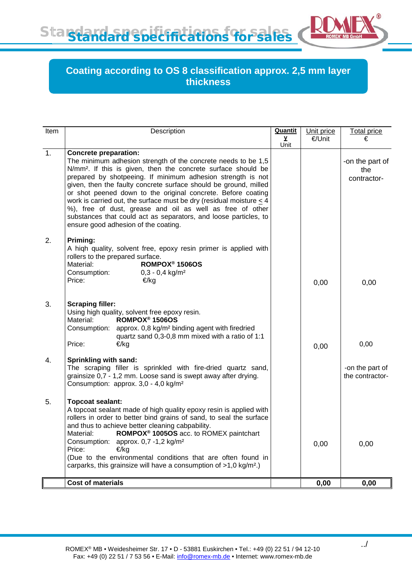Standard specifications for sales

## **Coating according to OS 8 classification approx. 2,5 mm layer thickness**

| Item           | Description                                                                                                                                                                                                                                                                                                                                                                                                                                                                                                                                                                                | <b>Quantit</b> | Unit price | <b>Total price</b>                    |
|----------------|--------------------------------------------------------------------------------------------------------------------------------------------------------------------------------------------------------------------------------------------------------------------------------------------------------------------------------------------------------------------------------------------------------------------------------------------------------------------------------------------------------------------------------------------------------------------------------------------|----------------|------------|---------------------------------------|
|                |                                                                                                                                                                                                                                                                                                                                                                                                                                                                                                                                                                                            | у<br>Unit      | €/Unit     | €                                     |
| $\mathbf{1}$ . | <b>Concrete preparation:</b><br>The minimum adhesion strength of the concrete needs to be 1,5<br>N/mm <sup>2</sup> . If this is given, then the concrete surface should be<br>prepared by shotpeeing. If minimum adhesion strength is not<br>given, then the faulty concrete surface should be ground, milled<br>or shot peened down to the original concrete. Before coating<br>work is carried out, the surface must be dry (residual moisture $\leq$ 4<br>%), free of dust, grease and oil as well as free of other<br>substances that could act as separators, and loose particles, to |                |            | -on the part of<br>the<br>contractor- |
| 2.             | ensure good adhesion of the coating.<br>Priming:<br>A high quality, solvent free, epoxy resin primer is applied with<br>rollers to the prepared surface.<br>ROMPOX <sup>®</sup> 1506OS<br>Material:<br>Consumption:<br>$0,3 - 0,4$ kg/m <sup>2</sup><br>Price:<br>€/kg                                                                                                                                                                                                                                                                                                                     |                | 0,00       | 0,00                                  |
| 3.             | <b>Scraping filler:</b><br>Using high quality, solvent free epoxy resin.<br>ROMPOX <sup>®</sup> 1506OS<br>Material:<br>approx. 0,8 kg/m <sup>2</sup> binding agent with firedried<br>Consumption:<br>quartz sand 0,3-0,8 mm mixed with a ratio of 1:1<br>Price:<br>€/kg                                                                                                                                                                                                                                                                                                                    |                | 0,00       | 0,00                                  |
| 4.             | Sprinkling with sand:<br>The scraping filler is sprinkled with fire-dried quartz sand,<br>grainsize 0,7 - 1,2 mm. Loose sand is swept away after drying.<br>Consumption: approx. 3,0 - 4,0 kg/m <sup>2</sup>                                                                                                                                                                                                                                                                                                                                                                               |                |            | -on the part of<br>the contractor-    |
| 5.             | <b>Topcoat sealant:</b><br>A topcoat sealant made of high quality epoxy resin is applied with<br>rollers in order to better bind grains of sand, to seal the surface<br>and thus to achieve better cleaning cabpability.<br>ROMPOX <sup>®</sup> 1005OS acc. to ROMEX paintchart<br>Material:<br>Consumption: approx. 0,7 -1,2 kg/m <sup>2</sup><br>Price:<br>€/kg<br>(Due to the environmental conditions that are often found in<br>carparks, this grainsize will have a consumption of $>1,0$ kg/m <sup>2</sup> .)                                                                       |                | 0,00       | 0,00                                  |
|                | Cost of materials                                                                                                                                                                                                                                                                                                                                                                                                                                                                                                                                                                          |                | 0,00       | 0,00                                  |